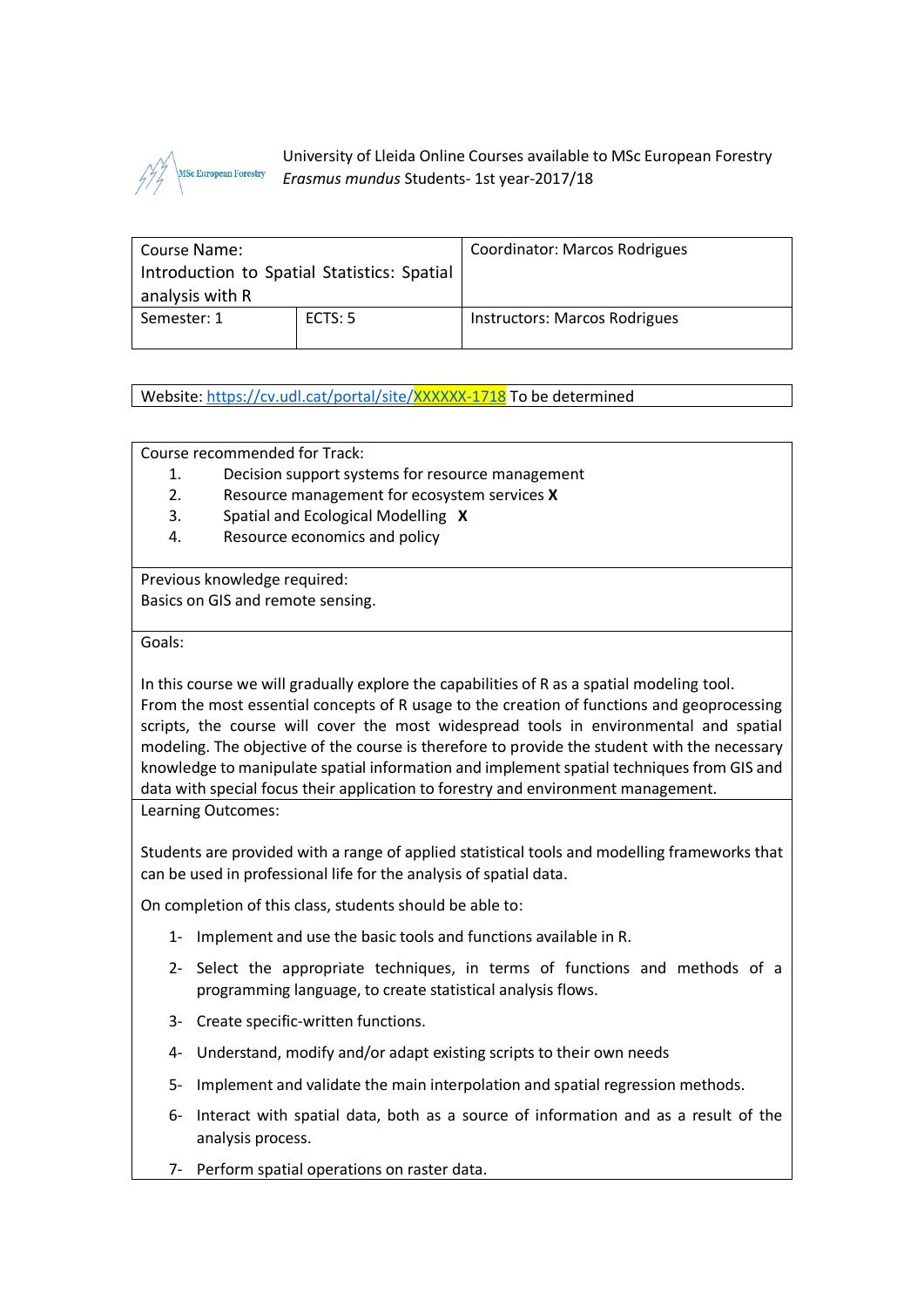

University of Lleida Online Courses available to MSc European Forestry *Erasmus mundus* Students- 1st year-2017/18

| Course Name:<br>Introduction to Spatial Statistics: Spatial |         | Coordinator: Marcos Rodrigues |
|-------------------------------------------------------------|---------|-------------------------------|
| analysis with R                                             |         |                               |
| Semester: 1                                                 | ECTS: 5 | Instructors: Marcos Rodrigues |

Website:<https://cv.udl.cat/portal/site/XXXXXX-1718> To be determined

Course recommended for Track:

- 1. Decision support systems for resource management
- 2. Resource management for ecosystem services **X**
- 3. Spatial and Ecological Modelling **X**
- 4. Resource economics and policy

Previous knowledge required: Basics on GIS and remote sensing.

Goals:

In this course we will gradually explore the capabilities of R as a spatial modeling tool. From the most essential concepts of R usage to the creation of functions and geoprocessing scripts, the course will cover the most widespread tools in environmental and spatial modeling. The objective of the course is therefore to provide the student with the necessary knowledge to manipulate spatial information and implement spatial techniques from GIS and data with special focus their application to forestry and environment management.

Learning Outcomes:

Students are provided with a range of applied statistical tools and modelling frameworks that can be used in professional life for the analysis of spatial data.

On completion of this class, students should be able to:

- 1- Implement and use the basic tools and functions available in R.
- 2- Select the appropriate techniques, in terms of functions and methods of a programming language, to create statistical analysis flows.
- 3- Create specific-written functions.
- 4- Understand, modify and/or adapt existing scripts to their own needs
- 5- Implement and validate the main interpolation and spatial regression methods.
- 6- Interact with spatial data, both as a source of information and as a result of the analysis process.
- 7- Perform spatial operations on raster data.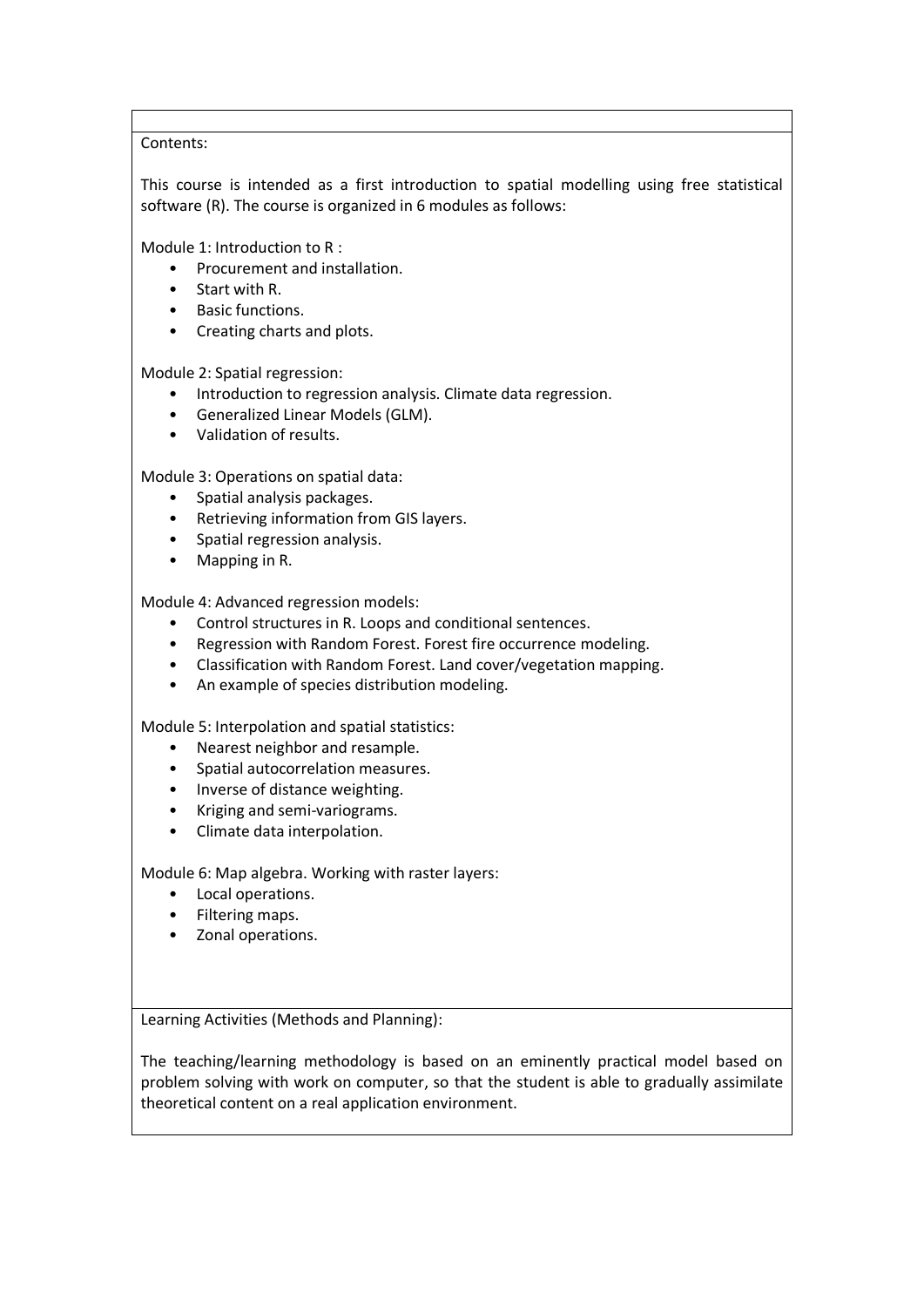Contents:

This course is intended as a first introduction to spatial modelling using free statistical software (R). The course is organized in 6 modules as follows:

Module 1: Introduction to R :

- Procurement and installation.
- Start with R.
- Basic functions.
- Creating charts and plots.

Module 2: Spatial regression:

- Introduction to regression analysis. Climate data regression.
- Generalized Linear Models (GLM).
- Validation of results.

Module 3: Operations on spatial data:

- Spatial analysis packages.
- Retrieving information from GIS layers.
- Spatial regression analysis.
- Mapping in R.

Module 4: Advanced regression models:

- Control structures in R. Loops and conditional sentences.
- Regression with Random Forest. Forest fire occurrence modeling.
- Classification with Random Forest. Land cover/vegetation mapping.
- An example of species distribution modeling.

Module 5: Interpolation and spatial statistics:

- Nearest neighbor and resample.
- Spatial autocorrelation measures.
- Inverse of distance weighting.
- Kriging and semi-variograms.
- Climate data interpolation.

Module 6: Map algebra. Working with raster layers:

- Local operations.
- Filtering maps.
- Zonal operations.

Learning Activities (Methods and Planning):

The teaching/learning methodology is based on an eminently practical model based on problem solving with work on computer, so that the student is able to gradually assimilate theoretical content on a real application environment.